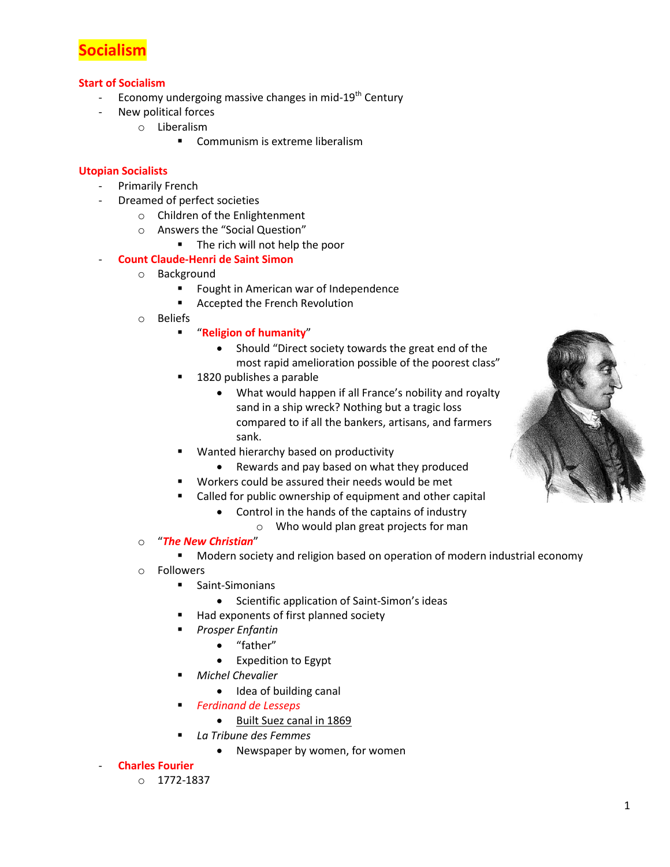

### **Start of Socialism**

- Economy undergoing massive changes in mid- $19<sup>th</sup>$  Century
- New political forces
	- o Liberalism
		- **Communism is extreme liberalism**

### **Utopian Socialists**

- Primarily French
- Dreamed of perfect societies
	- o Children of the Enlightenment
		- o Answers the "Social Question"
			- The rich will not help the poor

# - **Count Claude-Henri de Saint Simon**

- o Background
	- **FILM** Fought in American war of Independence
	- Accepted the French Revolution
- o Beliefs
	- "**Religion of humanity**"
		- Should "Direct society towards the great end of the most rapid amelioration possible of the poorest class"
	- 1820 publishes a parable
		- What would happen if all France's nobility and royalty sand in a ship wreck? Nothing but a tragic loss compared to if all the bankers, artisans, and farmers sank.
	- Wanted hierarchy based on productivity
		- Rewards and pay based on what they produced
		- Workers could be assured their needs would be met
	- Called for public ownership of equipment and other capital
		- Control in the hands of the captains of industry
			- o Who would plan great projects for man
- o "*The New Christian*"
	- Modern society and religion based on operation of modern industrial economy
- o Followers
	- **E** Saint-Simonians
		- Scientific application of Saint-Simon's ideas
	- Had exponents of first planned society
	- *Prosper Enfantin*
		- "father"
			- Expedition to Egypt
	- *Michel Chevalier*
		- Idea of building canal
	- *Ferdinand de Lesseps*
		- Built Suez canal in 1869
	- *La Tribune des Femmes*
		- Newspaper by women, for women

### - **Charles Fourier**

o 1772-1837

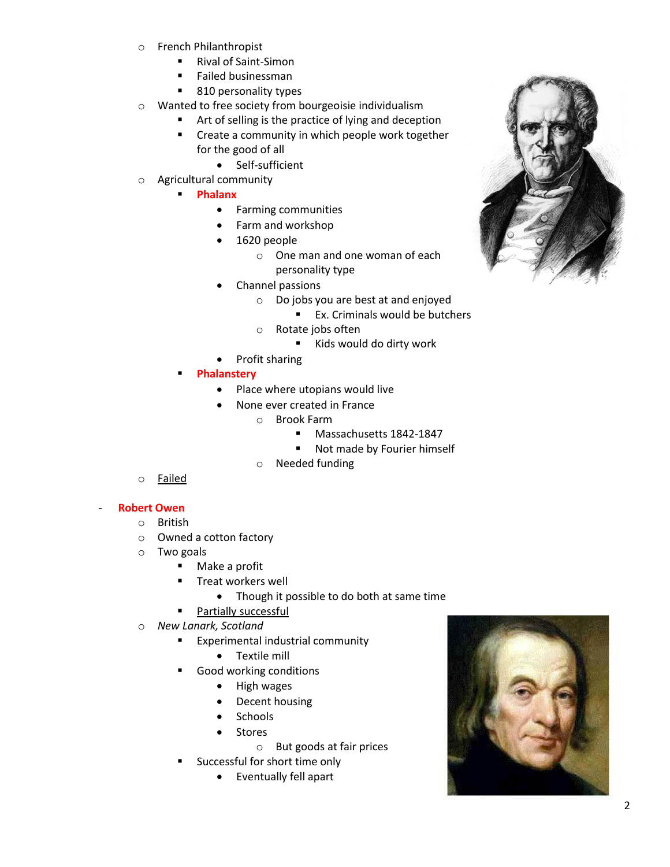- o French Philanthropist
	- Rival of Saint-Simon
	- **Failed businessman**
	- 810 personality types
- o Wanted to free society from bourgeoisie individualism
	- Art of selling is the practice of lying and deception **EXECT:** Create a community in which people work together
		- for the good of all
			- Self-sufficient
- o Agricultural community
	- **Phalanx**
		- **•** Farming communities
		- Farm and workshop
		- 1620 people
			- o One man and one woman of each personality type
		- Channel passions
			- o Do jobs you are best at and enjoyed
				- **Ex.** Criminals would be butchers
			- o Rotate jobs often
				- Kids would do dirty work
		- Profit sharing
	- **Phalanstery**
		- Place where utopians would live
		- None ever created in France
			- o Brook Farm
				- **Massachusetts 1842-1847**
				- Not made by Fourier himself
			- o Needed funding
- o Failed

# - **Robert Owen**

- o British
	- o Owned a cotton factory
	- o Two goals
		- Make a profit
		- Treat workers well
			- Though it possible to do both at same time
		- **Partially successful**
	- o *New Lanark, Scotland*
		- **Experimental industrial community** 
			- Textile mill
		- Good working conditions
			- High wages
			- Decent housing
			- Schools
			- Stores
				- o But goods at fair prices
		- **Successful for short time only** 
			- Eventually fell apart



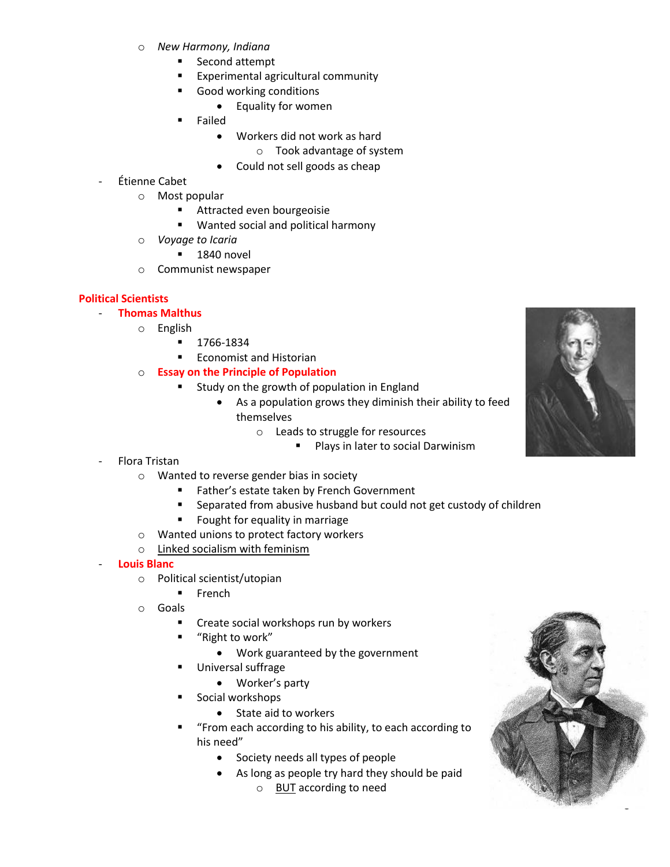- o *New Harmony, Indiana*
	- **Second attempt**
	- **Experimental agricultural community**
	- Good working conditions
		- Equality for women
	- Failed
		- Workers did not work as hard
			- o Took advantage of system
		- Could not sell goods as cheap

# - Étienne Cabet

- o Most popular
	- **Attracted even bourgeoisie**
	- **Wanted social and political harmony**
- o *Voyage to Icaria*
	- $-1840$  novel
- o Communist newspaper

# **Political Scientists**

- **Thomas Malthus**
	- o English
		- 1766-1834
		- Economist and Historian
	- o **Essay on the Principle of Population**
		- **EXTERGH** Study on the growth of population in England
			- As a population grows they diminish their ability to feed themselves
				- o Leads to struggle for resources
					- **Plays in later to social Darwinism**
- Flora Tristan
	- o Wanted to reverse gender bias in society
		- **Father's estate taken by French Government**
		- **EXECT** Separated from abusive husband but could not get custody of children
		- **Figure 1** Fought for equality in marriage
	- o Wanted unions to protect factory workers
	- o Linked socialism with feminism

### - **Louis Blanc**

- o Political scientist/utopian
	- $F$ French
- o Goals
	- **EXECT** Create social workshops run by workers
	- "Right to work"
		- Work guaranteed by the government
	- Universal suffrage
		- Worker's party
	- Social workshops
		- State aid to workers
	- "From each according to his ability, to each according to his need"
		- Society needs all types of people
		- As long as people try hard they should be paid
			- o BUT according to need



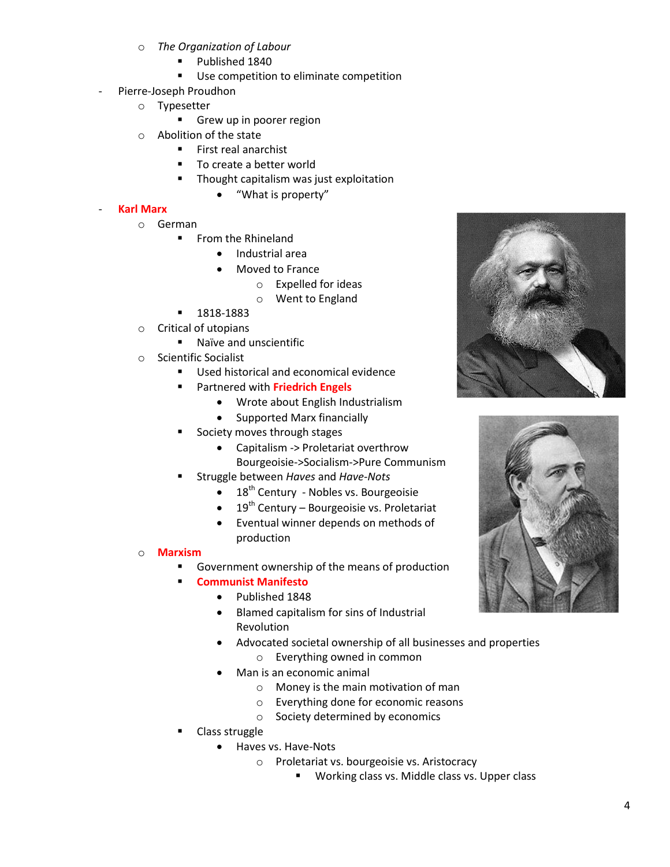- o *The Organization of Labour*
	- **Published 1840**
	- **Use competition to eliminate competition**
- Pierre-Joseph Proudhon
	- o Typesetter
		- Grew up in poorer region
	- o Abolition of the state
		- **First real anarchist**
		- To create a better world
			- Thought capitalism was just exploitation
				- "What is property"

### - **Karl Marx**

- o German
	- **From the Rhineland** 
		- Industrial area
		- Moved to France
			- o Expelled for ideas
			- o Went to England
	- **1818-1883**
- o Critical of utopians
	- **Naïve and unscientific**
- o Scientific Socialist
	- Used historical and economical evidence
	- Partnered with **Friedrich Engels**
		- Wrote about English Industrialism
		- Supported Marx financially
	- Society moves through stages
		- Capitalism -> Proletariat overthrow Bourgeoisie->Socialism->Pure Communism
	- Struggle between *Haves* and *Have-Nots*
		- $\bullet$  18<sup>th</sup> Century Nobles vs. Bourgeoisie
		- $\bullet$  19<sup>th</sup> Century Bourgeoisie vs. Proletariat
		- Eventual winner depends on methods of production

### o **Marxism**

- Government ownership of the means of production
- **Communist Manifesto**
	- Published 1848
		- Blamed capitalism for sins of Industrial Revolution
		- Advocated societal ownership of all businesses and properties
			- o Everything owned in common
		- Man is an economic animal
			- o Money is the main motivation of man
			- o Everything done for economic reasons
			- o Society determined by economics
- Class struggle
	- Haves vs. Have-Nots
		- o Proletariat vs. bourgeoisie vs. Aristocracy
			- **Working class vs. Middle class vs. Upper class**